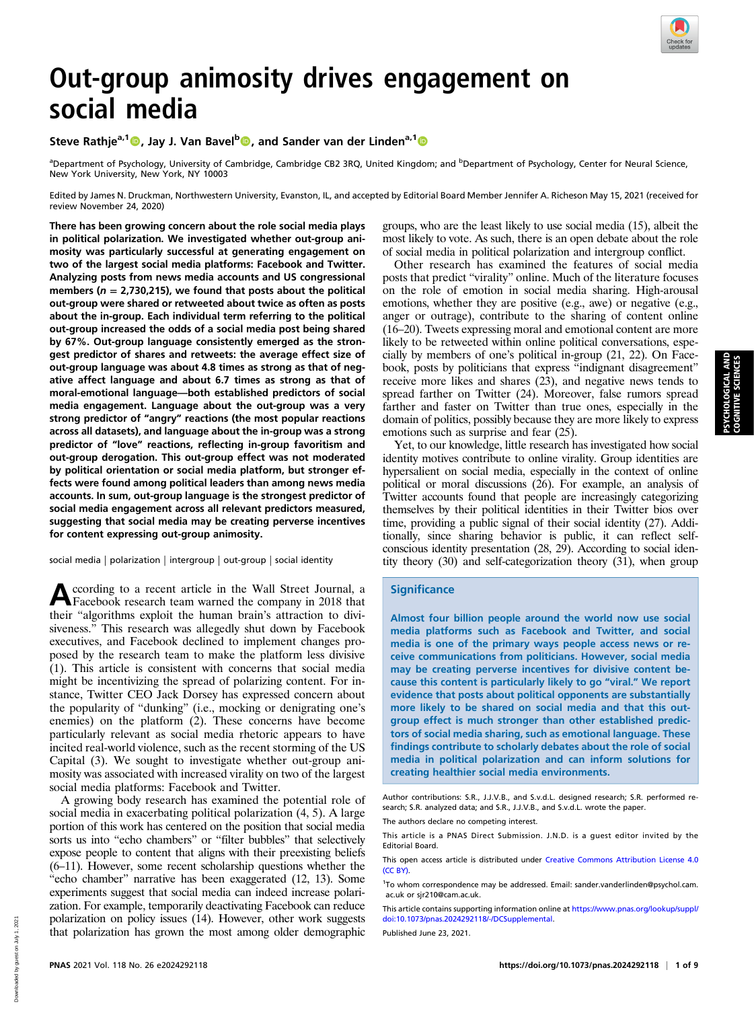

# Out-group animosity drives engagement on social media

# Steve Rathje<sup>a, 1</sup> (D., Jay J. Van Bavel<sup>b</sup> (D., and Sander van der Linden<sup>a, 1</sup> (D

<sup>a</sup>Department of Psychology, University of Cambridge, Cambridge CB2 3RQ, United Kingdom; and <sup>b</sup>Department of Psychology, Center for Neural Science, New York University, New York, NY 10003

Edited by James N. Druckman, Northwestern University, Evanston, IL, and accepted by Editorial Board Member Jennifer A. Richeson May 15, 2021 (received for review November 24, 2020)

There has been growing concern about the role social media plays in political polarization. We investigated whether out-group animosity was particularly successful at generating engagement on two of the largest social media platforms: Facebook and Twitter. Analyzing posts from news media accounts and US congressional members ( $n = 2,730,215$ ), we found that posts about the political out-group were shared or retweeted about twice as often as posts about the in-group. Each individual term referring to the political out-group increased the odds of a social media post being shared by 67%. Out-group language consistently emerged as the strongest predictor of shares and retweets: the average effect size of out-group language was about 4.8 times as strong as that of negative affect language and about 6.7 times as strong as that of moral-emotional language—both established predictors of social media engagement. Language about the out-group was a very strong predictor of "angry" reactions (the most popular reactions across all datasets), and language about the in-group was a strong predictor of "love" reactions, reflecting in-group favoritism and out-group derogation. This out-group effect was not moderated by political orientation or social media platform, but stronger effects were found among political leaders than among news media accounts. In sum, out-group language is the strongest predictor of social media engagement across all relevant predictors measured, suggesting that social media may be creating perverse incentives for content expressing out-group animosity.

social media | polarization | intergroup | out-group | social identity

According to a recent article in the Wall Street Journal, a Facebook research team warned the company in 2018 that their "algorithms exploit the human brain's attraction to divisiveness." This research was allegedly shut down by Facebook executives, and Facebook declined to implement changes proposed by the research team to make the platform less divisive (1). This article is consistent with concerns that social media might be incentivizing the spread of polarizing content. For instance, Twitter CEO Jack Dorsey has expressed concern about the popularity of "dunking" (i.e., mocking or denigrating one's enemies) on the platform (2). These concerns have become particularly relevant as social media rhetoric appears to have incited real-world violence, such as the recent storming of the US Capital (3). We sought to investigate whether out-group animosity was associated with increased virality on two of the largest social media platforms: Facebook and Twitter.

A growing body research has examined the potential role of social media in exacerbating political polarization (4, 5). A large portion of this work has centered on the position that social media sorts us into "echo chambers" or "filter bubbles" that selectively expose people to content that aligns with their preexisting beliefs (6–11). However, some recent scholarship questions whether the "echo chamber" narrative has been exaggerated (12, 13). Some experiments suggest that social media can indeed increase polarization. For example, temporarily deactivating Facebook can reduce polarization on policy issues (14). However, other work suggests that polarization has grown the most among older demographic groups, who are the least likely to use social media (15), albeit the most likely to vote. As such, there is an open debate about the role of social media in political polarization and intergroup conflict.

Other research has examined the features of social media posts that predict "virality" online. Much of the literature focuses on the role of emotion in social media sharing. High-arousal emotions, whether they are positive (e.g., awe) or negative (e.g., anger or outrage), contribute to the sharing of content online (16–20). Tweets expressing moral and emotional content are more likely to be retweeted within online political conversations, especially by members of one's political in-group (21, 22). On Facebook, posts by politicians that express "indignant disagreement" receive more likes and shares (23), and negative news tends to spread farther on Twitter (24). Moreover, false rumors spread farther and faster on Twitter than true ones, especially in the domain of politics, possibly because they are more likely to express emotions such as surprise and fear (25).

Yet, to our knowledge, little research has investigated how social identity motives contribute to online virality. Group identities are hypersalient on social media, especially in the context of online political or moral discussions (26). For example, an analysis of Twitter accounts found that people are increasingly categorizing themselves by their political identities in their Twitter bios over time, providing a public signal of their social identity (27). Additionally, since sharing behavior is public, it can reflect selfconscious identity presentation (28, 29). According to social identity theory (30) and self-categorization theory (31), when group

# **Significance**

Almost four billion people around the world now use social media platforms such as Facebook and Twitter, and social media is one of the primary ways people access news or receive communications from politicians. However, social media may be creating perverse incentives for divisive content because this content is particularly likely to go "viral." We report evidence that posts about political opponents are substantially more likely to be shared on social media and that this outgroup effect is much stronger than other established predictors of social media sharing, such as emotional language. These findings contribute to scholarly debates about the role of social media in political polarization and can inform solutions for creating healthier social media environments.

Author contributions: S.R., J.J.V.B., and S.v.d.L. designed research; S.R. performed research; S.R. analyzed data; and S.R., J.J.V.B., and S.v.d.L. wrote the paper.

The authors declare no competing interest.

This article is a PNAS Direct Submission. J.N.D. is a guest editor invited by the Editorial Board.

This open access article is distributed under [Creative Commons Attribution License 4.0](http://creativecommons.org/licenses/by/4.0/) [\(CC BY\).](http://creativecommons.org/licenses/by/4.0/)

<sup>1</sup>To whom correspondence may be addressed. Email: [sander.vanderlinden@psychol.cam.](mailto:sander.vanderlinden@psychol.cam.ac.uk) [ac.uk](mailto:sander.vanderlinden@psychol.cam.ac.uk) or [sjr210@cam.ac.uk.](mailto:sjr210@cam.ac.uk)

This article contains supporting information online at [https://www.pnas.org/lookup/suppl/](https://www.pnas.org/lookup/suppl/doi:10.1073/pnas.2024292118/-/DCSupplemental) [doi:10.1073/pnas.2024292118/-/DCSupplemental.](https://www.pnas.org/lookup/suppl/doi:10.1073/pnas.2024292118/-/DCSupplemental)

Published June 23, 2021.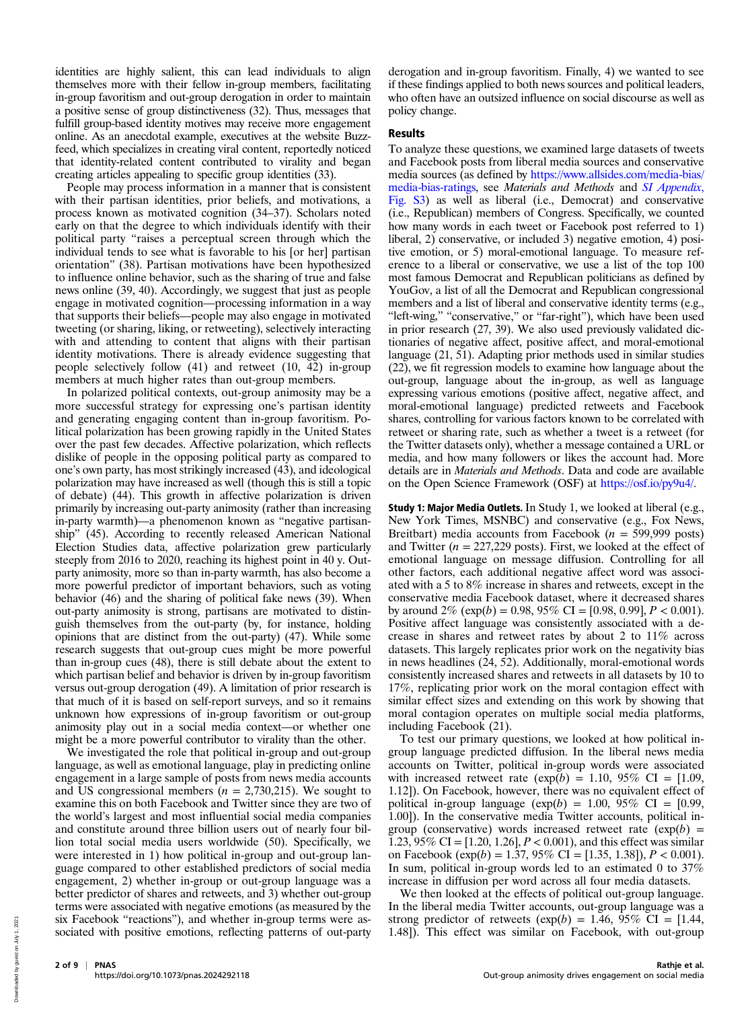identities are highly salient, this can lead individuals to align themselves more with their fellow in-group members, facilitating in-group favoritism and out-group derogation in order to maintain a positive sense of group distinctiveness (32). Thus, messages that fulfill group-based identity motives may receive more engagement online. As an anecdotal example, executives at the website Buzzfeed, which specializes in creating viral content, reportedly noticed that identity-related content contributed to virality and began creating articles appealing to specific group identities (33).

People may process information in a manner that is consistent with their partisan identities, prior beliefs, and motivations, a process known as motivated cognition (34–37). Scholars noted early on that the degree to which individuals identify with their political party "raises a perceptual screen through which the individual tends to see what is favorable to his [or her] partisan orientation" (38). Partisan motivations have been hypothesized to influence online behavior, such as the sharing of true and false news online (39, 40). Accordingly, we suggest that just as people engage in motivated cognition—processing information in a way that supports their beliefs—people may also engage in motivated tweeting (or sharing, liking, or retweeting), selectively interacting with and attending to content that aligns with their partisan identity motivations. There is already evidence suggesting that people selectively follow (41) and retweet (10, 42) in-group members at much higher rates than out-group members.

In polarized political contexts, out-group animosity may be a more successful strategy for expressing one's partisan identity and generating engaging content than in-group favoritism. Political polarization has been growing rapidly in the United States over the past few decades. Affective polarization, which reflects dislike of people in the opposing political party as compared to one's own party, has most strikingly increased (43), and ideological polarization may have increased as well (though this is still a topic of debate) (44). This growth in affective polarization is driven primarily by increasing out-party animosity (rather than increasing in-party warmth)—a phenomenon known as "negative partisanship" (45). According to recently released American National Election Studies data, affective polarization grew particularly steeply from 2016 to 2020, reaching its highest point in 40 y. Outparty animosity, more so than in-party warmth, has also become a more powerful predictor of important behaviors, such as voting behavior (46) and the sharing of political fake news (39). When out-party animosity is strong, partisans are motivated to distinguish themselves from the out-party (by, for instance, holding opinions that are distinct from the out-party) (47). While some research suggests that out-group cues might be more powerful than in-group cues (48), there is still debate about the extent to which partisan belief and behavior is driven by in-group favoritism versus out-group derogation (49). A limitation of prior research is that much of it is based on self-report surveys, and so it remains unknown how expressions of in-group favoritism or out-group animosity play out in a social media context—or whether one might be a more powerful contributor to virality than the other.

We investigated the role that political in-group and out-group language, as well as emotional language, play in predicting online engagement in a large sample of posts from news media accounts and US congressional members  $(n = 2.730,215)$ . We sought to examine this on both Facebook and Twitter since they are two of the world's largest and most influential social media companies and constitute around three billion users out of nearly four billion total social media users worldwide (50). Specifically, we were interested in 1) how political in-group and out-group language compared to other established predictors of social media engagement, 2) whether in-group or out-group language was a better predictor of shares and retweets, and 3) whether out-group terms were associated with negative emotions (as measured by the six Facebook "reactions"), and whether in-group terms were associated with positive emotions, reflecting patterns of out-party

derogation and in-group favoritism. Finally, 4) we wanted to see if these findings applied to both news sources and political leaders, who often have an outsized influence on social discourse as well as policy change.

## Results

To analyze these questions, we examined large datasets of tweets and Facebook posts from liberal media sources and conservative media sources (as defined by [https://www.allsides.com/media-bias/](https://www.allsides.com/media-bias/media-bias-ratings) [media-bias-ratings](https://www.allsides.com/media-bias/media-bias-ratings), see Materials and Methods and [SI Appendix](https://www.pnas.org/lookup/suppl/doi:10.1073/pnas.2024292118/-/DCSupplemental), [Fig. S3](https://www.pnas.org/lookup/suppl/doi:10.1073/pnas.2024292118/-/DCSupplemental)) as well as liberal (i.e., Democrat) and conservative (i.e., Republican) members of Congress. Specifically, we counted how many words in each tweet or Facebook post referred to 1) liberal, 2) conservative, or included 3) negative emotion, 4) positive emotion, or 5) moral-emotional language. To measure reference to a liberal or conservative, we use a list of the top 100 most famous Democrat and Republican politicians as defined by YouGov, a list of all the Democrat and Republican congressional members and a list of liberal and conservative identity terms (e.g., "left-wing," "conservative," or "far-right"), which have been used in prior research (27, 39). We also used previously validated dictionaries of negative affect, positive affect, and moral-emotional language (21, 51). Adapting prior methods used in similar studies (22), we fit regression models to examine how language about the out-group, language about the in-group, as well as language expressing various emotions (positive affect, negative affect, and moral-emotional language) predicted retweets and Facebook shares, controlling for various factors known to be correlated with retweet or sharing rate, such as whether a tweet is a retweet (for the Twitter datasets only), whether a message contained a URL or media, and how many followers or likes the account had. More details are in Materials and Methods. Data and code are available on the Open Science Framework (OSF) at <https://osf.io/py9u4/>.

Study 1: Major Media Outlets. In Study 1, we looked at liberal (e.g., New York Times, MSNBC) and conservative (e.g., Fox News, Breitbart) media accounts from Facebook ( $n = 599,999$  posts) and Twitter ( $n = 227,229$  posts). First, we looked at the effect of emotional language on message diffusion. Controlling for all other factors, each additional negative affect word was associated with a 5 to 8% increase in shares and retweets, except in the conservative media Facebook dataset, where it decreased shares by around  $2\%$  (exp(b) = 0.98, 95% CI = [0.98, 0.99],  $P < 0.001$ ). Positive affect language was consistently associated with a decrease in shares and retweet rates by about 2 to 11% across datasets. This largely replicates prior work on the negativity bias in news headlines (24, 52). Additionally, moral-emotional words consistently increased shares and retweets in all datasets by 10 to 17%, replicating prior work on the moral contagion effect with similar effect sizes and extending on this work by showing that moral contagion operates on multiple social media platforms, including Facebook (21).

To test our primary questions, we looked at how political ingroup language predicted diffusion. In the liberal news media accounts on Twitter, political in-group words were associated with increased retweet rate  $(\exp(b) = 1.10, 95\% \text{ CI} = [1.09,$ 1.12]). On Facebook, however, there was no equivalent effect of political in-group language  $(\exp(b) = 1.00, 95\% \text{ CI} = [0.99,$ 1.00]). In the conservative media Twitter accounts, political ingroup (conservative) words increased retweet rate  $(exp(b)$  = 1.23, 95% CI =  $[1.20, 1.26]$ ,  $P < 0.001$ ), and this effect was similar on Facebook ( $exp(b) = 1.37, 95\%$  CI = [1.35, 1.38]),  $P < 0.001$ ). In sum, political in-group words led to an estimated 0 to 37% increase in diffusion per word across all four media datasets.

We then looked at the effects of political out-group language. In the liberal media Twitter accounts, out-group language was a strong predictor of retweets  $(\exp(b) = 1.46, 95\% \text{ CI} = [1.44,$ 1.48]). This effect was similar on Facebook, with out-group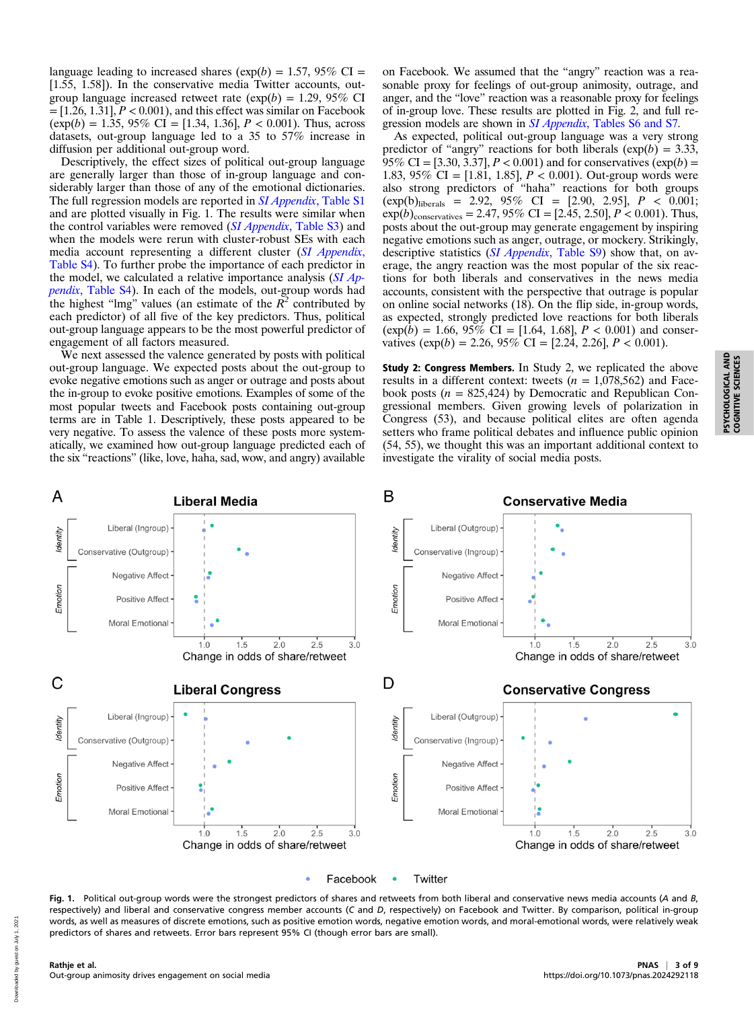language leading to increased shares ( $exp(b) = 1.57$ , 95% CI = [1.55, 1.58]). In the conservative media Twitter accounts, outgroup language increased retweet rate  $(\exp(b) = 1.29, 95\% \text{ CI})$  $=[1.26, 1.31], P < 0.001$ , and this effect was similar on Facebook  $(\exp(b) = 1.35, 95\% \text{ CI} = [1.34, 1.36], P < 0.001)$ . Thus, across datasets, out-group language led to a 35 to 57% increase in diffusion per additional out-group word.

Descriptively, the effect sizes of political out-group language are generally larger than those of in-group language and considerably larger than those of any of the emotional dictionaries. The full regression models are reported in *SI Appendix*[, Table S1](https://www.pnas.org/lookup/suppl/doi:10.1073/pnas.2024292118/-/DCSupplemental) and are plotted visually in Fig. 1. The results were similar when the control variables were removed (SI Appendix[, Table S3](https://www.pnas.org/lookup/suppl/doi:10.1073/pnas.2024292118/-/DCSupplemental)) and when the models were rerun with cluster-robust SEs with each media account representing a different cluster ([SI Appendix](https://www.pnas.org/lookup/suppl/doi:10.1073/pnas.2024292118/-/DCSupplemental), [Table S4](https://www.pnas.org/lookup/suppl/doi:10.1073/pnas.2024292118/-/DCSupplemental)). To further probe the importance of each predictor in the model, we calculated a relative importance analysis  $(SI$  Appendix[, Table S4](https://www.pnas.org/lookup/suppl/doi:10.1073/pnas.2024292118/-/DCSupplemental)). In each of the models, out-group words had the highest "lmg" values (an estimate of the  $\bar{R}^2$  contributed by each predictor) of all five of the key predictors. Thus, political out-group language appears to be the most powerful predictor of engagement of all factors measured.

We next assessed the valence generated by posts with political out-group language. We expected posts about the out-group to evoke negative emotions such as anger or outrage and posts about the in-group to evoke positive emotions. Examples of some of the most popular tweets and Facebook posts containing out-group terms are in Table 1. Descriptively, these posts appeared to be very negative. To assess the valence of these posts more systematically, we examined how out-group language predicted each of the six "reactions" (like, love, haha, sad, wow, and angry) available

on Facebook. We assumed that the "angry" reaction was a reasonable proxy for feelings of out-group animosity, outrage, and anger, and the "love" reaction was a reasonable proxy for feelings of in-group love. These results are plotted in Fig. 2, and full regression models are shown in SI Appendix[, Tables S6 and S7.](https://www.pnas.org/lookup/suppl/doi:10.1073/pnas.2024292118/-/DCSupplemental)

As expected, political out-group language was a very strong predictor of "angry" reactions for both liberals  $(\exp(b) = 3.33)$ , 95% CI = [3.30, 3.37],  $P < 0.001$ ) and for conservatives  $(\exp(b) =$ 1.83, 95% CI = [1.81, 1.85],  $P < 0.001$ ). Out-group words were also strong predictors of "haha" reactions for both groups  $(\exp(b)_{\text{liberals}} = 2.92, 95\% \text{ CI} = [2.90, 2.95], P < 0.001;$  $\exp(b)$ <sub>conservatives</sub> = 2.47, 95% CI = [2.45, 2.50], P < 0.001). Thus, posts about the out-group may generate engagement by inspiring negative emotions such as anger, outrage, or mockery. Strikingly, descriptive statistics (SI Appendix[, Table S9\)](https://www.pnas.org/lookup/suppl/doi:10.1073/pnas.2024292118/-/DCSupplemental) show that, on average, the angry reaction was the most popular of the six reactions for both liberals and conservatives in the news media accounts, consistent with the perspective that outrage is popular on online social networks (18). On the flip side, in-group words, as expected, strongly predicted love reactions for both liberals  $(\exp(\bar{b}) = 1.66, 95\% \text{ CI} = [1.64, 1.68], P < 0.001)$  and conservatives  $(\exp(b) = 2.26, 95\% \text{ CI} = [2.24, 2.26], P < 0.001).$ 

Study 2: Congress Members. In Study 2, we replicated the above results in a different context: tweets ( $n = 1,078,562$ ) and Facebook posts ( $n = 825,424$ ) by Democratic and Republican Congressional members. Given growing levels of polarization in Congress (53), and because political elites are often agenda setters who frame political debates and influence public opinion (54, 55), we thought this was an important additional context to investigate the virality of social media posts.



Fig. 1. Political out-group words were the strongest predictors of shares and retweets from both liberal and conservative news media accounts (A and B, respectively) and liberal and conservative congress member accounts (C and D, respectively) on Facebook and Twitter. By comparison, political in-group words, as well as measures of discrete emotions, such as positive emotion words, negative emotion words, and moral-emotional words, were relatively weak predictors of shares and retweets. Error bars represent 95% CI (though error bars are small).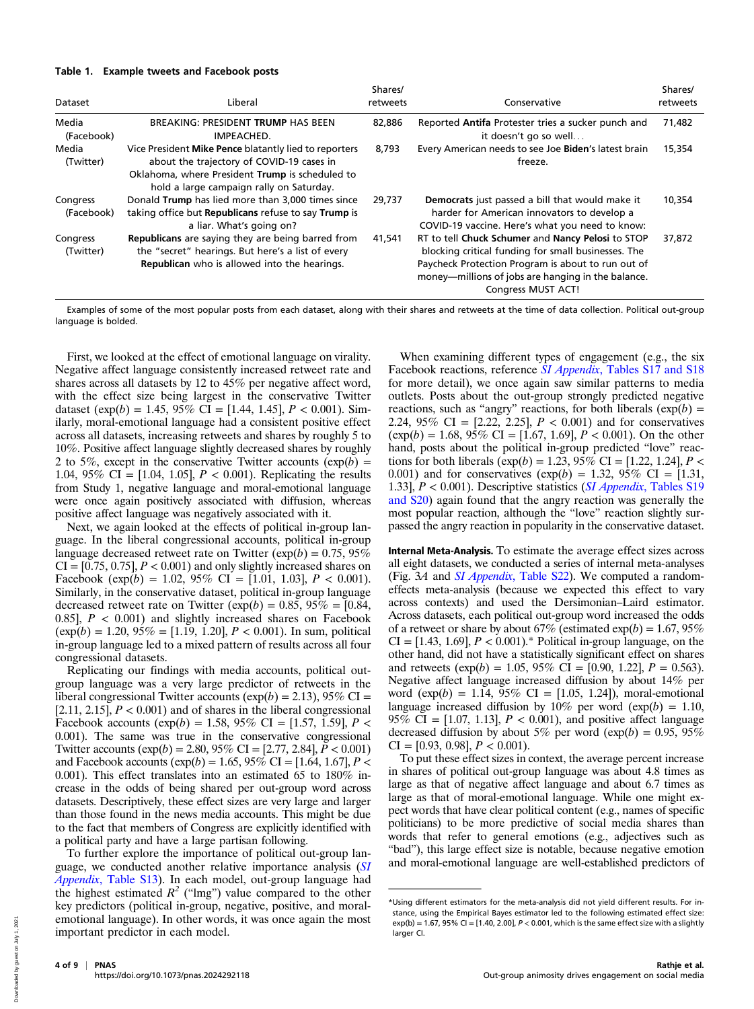#### Table 1. Example tweets and Facebook posts

| Dataset                | Liberal                                                                                                                                                                                           | Shares/<br>retweets | Conservative                                                                                                                                                                                                                               | Shares/<br>retweets |
|------------------------|---------------------------------------------------------------------------------------------------------------------------------------------------------------------------------------------------|---------------------|--------------------------------------------------------------------------------------------------------------------------------------------------------------------------------------------------------------------------------------------|---------------------|
| Media<br>(Facebook)    | BREAKING: PRESIDENT TRUMP HAS BEEN<br>IMPEACHED.                                                                                                                                                  | 82,886              | Reported Antifa Protester tries a sucker punch and<br>it doesn't go so well                                                                                                                                                                | 71,482              |
| Media<br>(Twitter)     | Vice President Mike Pence blatantly lied to reporters<br>about the trajectory of COVID-19 cases in<br>Oklahoma, where President Trump is scheduled to<br>hold a large campaign rally on Saturday. | 8.793               | Every American needs to see Joe Biden's latest brain<br>freeze.                                                                                                                                                                            | 15,354              |
| Congress<br>(Facebook) | Donald Trump has lied more than 3,000 times since<br>taking office but Republicans refuse to say Trump is<br>a liar. What's going on?                                                             | 29.737              | Democrats just passed a bill that would make it<br>harder for American innovators to develop a<br>COVID-19 vaccine. Here's what you need to know:                                                                                          | 10,354              |
| Congress<br>(Twitter)  | <b>Republicans</b> are saying they are being barred from<br>the "secret" hearings. But here's a list of every<br>Republican who is allowed into the hearings.                                     | 41,541              | RT to tell Chuck Schumer and Nancy Pelosi to STOP<br>blocking critical funding for small businesses. The<br>Paycheck Protection Program is about to run out of<br>money—millions of jobs are hanging in the balance.<br>Congress MUST ACT! | 37,872              |

Examples of some of the most popular posts from each dataset, along with their shares and retweets at the time of data collection. Political out-group language is bolded.

First, we looked at the effect of emotional language on virality. Negative affect language consistently increased retweet rate and shares across all datasets by 12 to 45% per negative affect word, with the effect size being largest in the conservative Twitter dataset  $(\exp(b) = 1.45, 95\% \text{ CI} = [1.44, 1.45], P < 0.001)$ . Similarly, moral-emotional language had a consistent positive effect across all datasets, increasing retweets and shares by roughly 5 to 10%. Positive affect language slightly decreased shares by roughly 2 to 5%, except in the conservative Twitter accounts  $(\exp(b) =$ 1.04, 95\% CI = [1.04, 1.05],  $P < 0.001$ ). Replicating the results from Study 1, negative language and moral-emotional language were once again positively associated with diffusion, whereas positive affect language was negatively associated with it.

Next, we again looked at the effects of political in-group language. In the liberal congressional accounts, political in-group language decreased retweet rate on Twitter ( $exp(b) = 0.75, 95\%$ )  $CI = [0.75, 0.75], P < 0.001$  and only slightly increased shares on Facebook (exp(b) = 1.02, 95% CI = [1.01, 1.03],  $P < 0.001$ ). Similarly, in the conservative dataset, political in-group language decreased retweet rate on Twitter ( $exp(b) = 0.85$ ,  $95\% = [0.84,$ 0.85],  $P < 0.001$ ) and slightly increased shares on Facebook  $(\exp(b) = 1.20, 95\% = [1.19, 1.20], P < 0.001)$ . In sum, political in-group language led to a mixed pattern of results across all four congressional datasets.

Replicating our findings with media accounts, political outgroup language was a very large predictor of retweets in the liberal congressional Twitter accounts ( $exp(b) = 2.13$ ), 95% CI = [2.11, 2.15],  $P < 0.001$ ) and of shares in the liberal congressional Facebook accounts (exp(b) = 1.58, 95% CI = [1.57, 1.59],  $P$  < 0.001). The same was true in the conservative congressional Twitter accounts  $(\exp(b) = 2.80, 95\% \text{ CI} = [2.77, 2.84], P < 0.001)$ and Facebook accounts ( $exp(b) = 1.65$ , 95% CI = [1.64, 1.67], P < 0.001). This effect translates into an estimated 65 to 180% increase in the odds of being shared per out-group word across datasets. Descriptively, these effect sizes are very large and larger than those found in the news media accounts. This might be due to the fact that members of Congress are explicitly identified with a political party and have a large partisan following.

To further explore the importance of political out-group lan-guage, we conducted another relative importance analysis ([SI](https://www.pnas.org/lookup/suppl/doi:10.1073/pnas.2024292118/-/DCSupplemental) Appendix[, Table S13\)](https://www.pnas.org/lookup/suppl/doi:10.1073/pnas.2024292118/-/DCSupplemental). In each model, out-group language had the highest estimated  $R^2$  ("lmg") value compared to the other key predictors (political in-group, negative, positive, and moralemotional language). In other words, it was once again the most important predictor in each model.

When examining different types of engagement (e.g., the six Facebook reactions, reference SI Appendix[, Tables S17 and S18](https://www.pnas.org/lookup/suppl/doi:10.1073/pnas.2024292118/-/DCSupplemental) for more detail), we once again saw similar patterns to media outlets. Posts about the out-group strongly predicted negative reactions, such as "angry" reactions, for both liberals  $(\exp(b) =$ 2.24, 95% CI =  $[2.22, 2.25]$ ,  $P < 0.001$ ) and for conservatives  $(\exp(b) = 1.68, 95\% \text{ CI} = [1.67, 1.69], P < 0.001)$ . On the other hand, posts about the political in-group predicted "love" reactions for both liberals ( $\exp(b) = 1.23, 95\%$  CI = [1.22, 1.24], P < 0.001) and for conservatives  $(\exp(b) = 1.32, 95\% \text{ CI} = [1.31,$ 1.33],  $P < 0.001$ ). Descriptive statistics (*SI Appendix*[, Tables S19](https://www.pnas.org/lookup/suppl/doi:10.1073/pnas.2024292118/-/DCSupplemental) [and S20](https://www.pnas.org/lookup/suppl/doi:10.1073/pnas.2024292118/-/DCSupplemental)) again found that the angry reaction was generally the most popular reaction, although the "love" reaction slightly surpassed the angry reaction in popularity in the conservative dataset.

Internal Meta-Analysis. To estimate the average effect sizes across all eight datasets, we conducted a series of internal meta-analyses (Fig. 3A and *SI Appendix*[, Table S22](https://www.pnas.org/lookup/suppl/doi:10.1073/pnas.2024292118/-/DCSupplemental)). We computed a randomeffects meta-analysis (because we expected this effect to vary across contexts) and used the Dersimonian–Laird estimator. Across datasets, each political out-group word increased the odds of a retweet or share by about 67% (estimated  $exp(b) = 1.67, 95%$  $CI = [1.43, 1.69], P < 0.001$ . \* Political in-group language, on the other hand, did not have a statistically significant effect on shares and retweets (exp(b) = 1.05, 95% CI = [0.90, 1.22],  $P = 0.563$ ). Negative affect language increased diffusion by about 14% per word  $(\exp(b) = 1.14, 95\% \text{ CI} = [1.05, 1.24]$ , moral-emotional language increased diffusion by  $10\%$  per word (exp(b) = 1.10, 95% CI =  $[1.07, 1.13]$ ,  $P < 0.001$ ), and positive affect language decreased diffusion by about 5% per word ( $\exp(b) = 0.95, 95\%$ )  $CI = [0.93, 0.98], P < 0.001$ .

To put these effect sizes in context, the average percent increase in shares of political out-group language was about 4.8 times as large as that of negative affect language and about 6.7 times as large as that of moral-emotional language. While one might expect words that have clear political content (e.g., names of specific politicians) to be more predictive of social media shares than words that refer to general emotions (e.g., adjectives such as "bad"), this large effect size is notable, because negative emotion and moral-emotional language are well-established predictors of

<sup>\*</sup>Using different estimators for the meta-analysis did not yield different results. For instance, using the Empirical Bayes estimator led to the following estimated effect size:  $exp(b) = 1.67$ , 95% CI = [1.40, 2.00],  $P < 0.001$ , which is the same effect size with a slightly larger CI.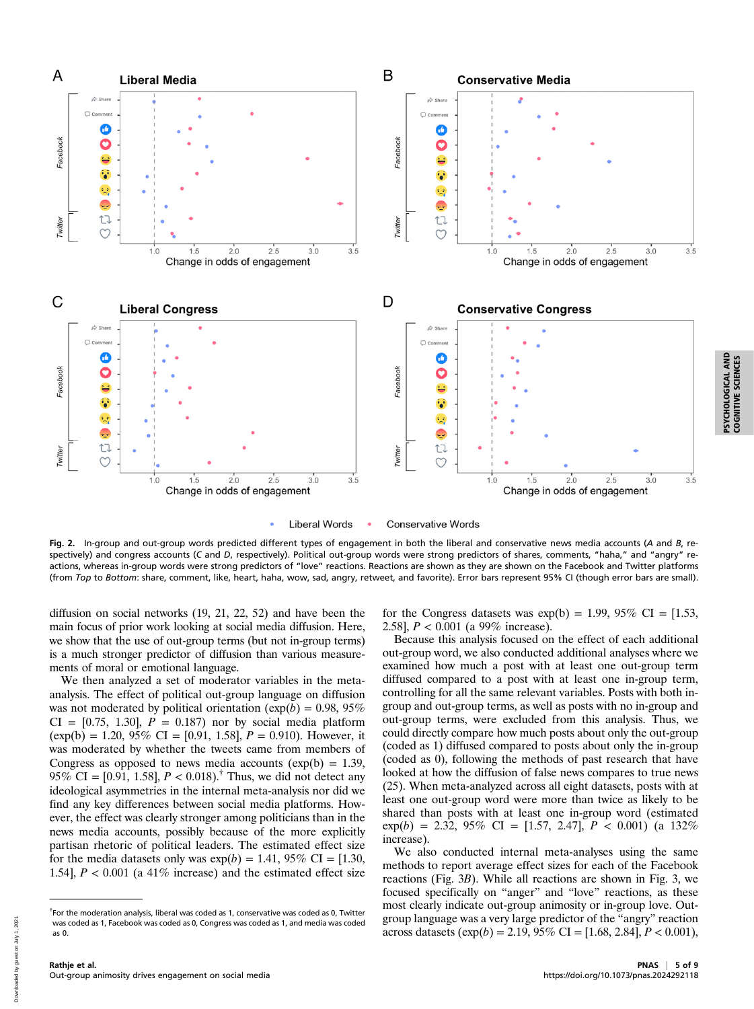

**Liberal Words Conservative Words** 

Fig. 2. In-group and out-group words predicted different types of engagement in both the liberal and conservative news media accounts (A and B, respectively) and congress accounts (C and D, respectively). Political out-group words were strong predictors of shares, comments, "haha," and "angry" reactions, whereas in-group words were strong predictors of "love" reactions. Reactions are shown as they are shown on the Facebook and Twitter platforms (from Top to Bottom: share, comment, like, heart, haha, wow, sad, angry, retweet, and favorite). Error bars represent 95% CI (though error bars are small).

diffusion on social networks (19, 21, 22, 52) and have been the main focus of prior work looking at social media diffusion. Here, we show that the use of out-group terms (but not in-group terms) is a much stronger predictor of diffusion than various measurements of moral or emotional language.

We then analyzed a set of moderator variables in the metaanalysis. The effect of political out-group language on diffusion was not moderated by political orientation ( $exp(b) = 0.98, 95\%$ )  $CI = [0.75, 1.30], P = 0.187$  nor by social media platform  $(exp(b) = 1.20, 95\% \text{ CI} = [0.91, 1.58], P = 0.910)$ . However, it was moderated by whether the tweets came from members of Congress as opposed to news media accounts  $(exp(b) = 1.39,$ 95% CI = [0.91, 1.58],  $P < 0.018$ .<sup>†</sup> Thus, we did not detect any ideological asymmetries in the internal meta-analysis nor did we find any key differences between social media platforms. However, the effect was clearly stronger among politicians than in the news media accounts, possibly because of the more explicitly partisan rhetoric of political leaders. The estimated effect size for the media datasets only was  $\exp(b) = 1.41, 95\% \text{ CI} = [1.30,$ 1.54],  $P < 0.001$  (a 41% increase) and the estimated effect size

for the Congress datasets was  $exp(b) = 1.99, 95\% \text{ CI} = [1.53,$ 2.58],  $P < 0.001$  (a 99% increase).

Because this analysis focused on the effect of each additional out-group word, we also conducted additional analyses where we examined how much a post with at least one out-group term diffused compared to a post with at least one in-group term, controlling for all the same relevant variables. Posts with both ingroup and out-group terms, as well as posts with no in-group and out-group terms, were excluded from this analysis. Thus, we could directly compare how much posts about only the out-group (coded as 1) diffused compared to posts about only the in-group (coded as 0), following the methods of past research that have looked at how the diffusion of false news compares to true news (25). When meta-analyzed across all eight datasets, posts with at least one out-group word were more than twice as likely to be shared than posts with at least one in-group word (estimated  $exp(b) = 2.32, 95\% \text{ CI} = [1.57, 2.47], P < 0.001)$  (a  $132\%$ increase).

We also conducted internal meta-analyses using the same methods to report average effect sizes for each of the Facebook reactions (Fig. 3B). While all reactions are shown in Fig. 3, we focused specifically on "anger" and "love" reactions, as these most clearly indicate out-group animosity or in-group love. Outgroup language was a very large predictor of the "angry" reaction across datasets  $(\exp(b) = 2.19, 95\% \text{ CI} = [1.68, 2.84], P < 0.001),$  PSYCHOLOGICAL AND COGNITIVE SCIENCES

PSYCHOLOGICAL AND<br>COGNITIVE SCIENCES

<sup>&</sup>lt;sup>†</sup>For the moderation analysis, liberal was coded as 1, conservative was coded as 0, Twitter was coded as 1, Facebook was coded as 0, Congress was coded as 1, and media was coded as 0.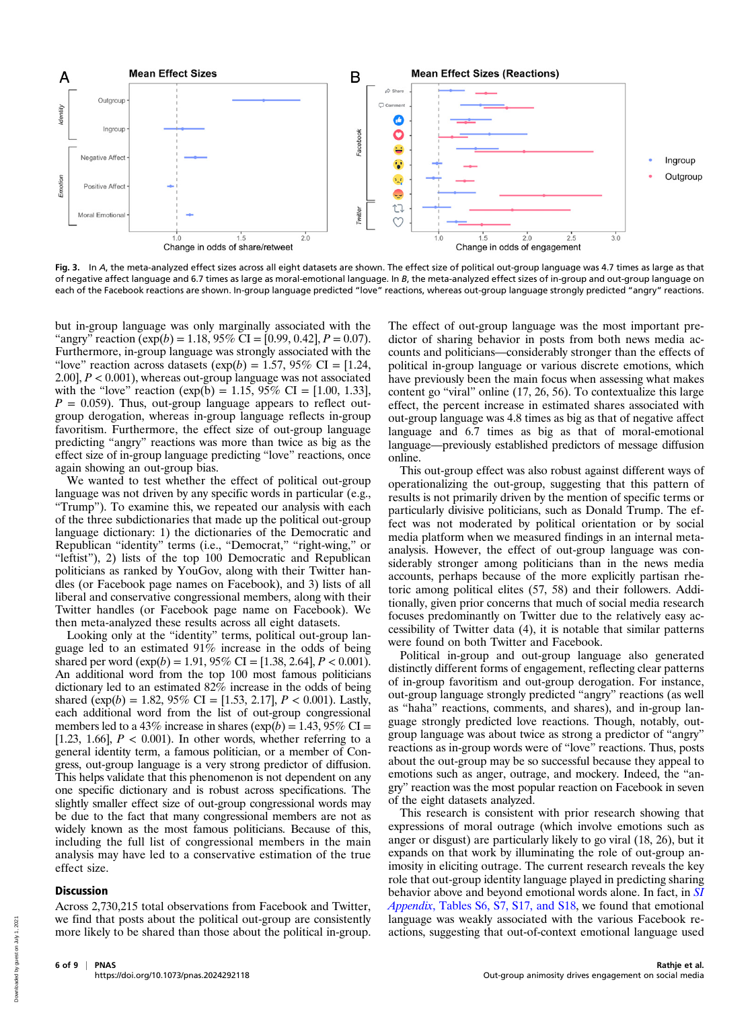

Fig. 3. In A, the meta-analyzed effect sizes across all eight datasets are shown. The effect size of political out-group language was 4.7 times as large as that of negative affect language and 6.7 times as large as moral-emotional language. In B, the meta-analyzed effect sizes of in-group and out-group language on each of the Facebook reactions are shown. In-group language predicted "love" reactions, whereas out-group language strongly predicted "angry" reactions.

but in-group language was only marginally associated with the "angry" reaction  $(\exp(b) = 1.18, 95\% \text{ CI} = [0.99, 0.42], P = 0.07)$ . Furthermore, in-group language was strongly associated with the "love" reaction across datasets  $(\exp(b) = 1.57, 95\% \text{ CI} = [1.24,$ 2.00],  $P < 0.001$ ), whereas out-group language was not associated with the "love" reaction (exp(b) = 1.15, 95% CI = [1.00, 1.33],  $P = 0.059$ . Thus, out-group language appears to reflect outgroup derogation, whereas in-group language reflects in-group favoritism. Furthermore, the effect size of out-group language predicting "angry" reactions was more than twice as big as the effect size of in-group language predicting "love" reactions, once again showing an out-group bias.

We wanted to test whether the effect of political out-group language was not driven by any specific words in particular (e.g., "Trump"). To examine this, we repeated our analysis with each of the three subdictionaries that made up the political out-group language dictionary: 1) the dictionaries of the Democratic and Republican "identity" terms (i.e., "Democrat," "right-wing," or "leftist"), 2) lists of the top 100 Democratic and Republican politicians as ranked by YouGov, along with their Twitter handles (or Facebook page names on Facebook), and 3) lists of all liberal and conservative congressional members, along with their Twitter handles (or Facebook page name on Facebook). We then meta-analyzed these results across all eight datasets.

Looking only at the "identity" terms, political out-group language led to an estimated 91% increase in the odds of being shared per word  $(\exp(b) = 1.91, 95\% \text{ CI} = [1.38, 2.64], P < 0.001)$ . An additional word from the top 100 most famous politicians dictionary led to an estimated  $82\%$  increase in the odds of being shared (exp(b) = 1.82, 95% CI = [1.53, 2.17],  $P < 0.001$ ). Lastly, each additional word from the list of out-group congressional members led to a 43% increase in shares  $(\exp(b) = 1.43, 95\% \text{ CI} =$ [1.23, 1.66],  $P < 0.001$ ). In other words, whether referring to a general identity term, a famous politician, or a member of Congress, out-group language is a very strong predictor of diffusion. This helps validate that this phenomenon is not dependent on any one specific dictionary and is robust across specifications. The slightly smaller effect size of out-group congressional words may be due to the fact that many congressional members are not as widely known as the most famous politicians. Because of this, including the full list of congressional members in the main analysis may have led to a conservative estimation of the true effect size.

### **Discussion**

Across 2,730,215 total observations from Facebook and Twitter, we find that posts about the political out-group are consistently more likely to be shared than those about the political in-group. The effect of out-group language was the most important predictor of sharing behavior in posts from both news media accounts and politicians—considerably stronger than the effects of political in-group language or various discrete emotions, which have previously been the main focus when assessing what makes content go "viral" online (17, 26, 56). To contextualize this large effect, the percent increase in estimated shares associated with out-group language was 4.8 times as big as that of negative affect language and 6.7 times as big as that of moral-emotional language—previously established predictors of message diffusion online.

This out-group effect was also robust against different ways of operationalizing the out-group, suggesting that this pattern of results is not primarily driven by the mention of specific terms or particularly divisive politicians, such as Donald Trump. The effect was not moderated by political orientation or by social media platform when we measured findings in an internal metaanalysis. However, the effect of out-group language was considerably stronger among politicians than in the news media accounts, perhaps because of the more explicitly partisan rhetoric among political elites (57, 58) and their followers. Additionally, given prior concerns that much of social media research focuses predominantly on Twitter due to the relatively easy accessibility of Twitter data (4), it is notable that similar patterns were found on both Twitter and Facebook.

Political in-group and out-group language also generated distinctly different forms of engagement, reflecting clear patterns of in-group favoritism and out-group derogation. For instance, out-group language strongly predicted "angry" reactions (as well as "haha" reactions, comments, and shares), and in-group language strongly predicted love reactions. Though, notably, outgroup language was about twice as strong a predictor of "angry" reactions as in-group words were of "love" reactions. Thus, posts about the out-group may be so successful because they appeal to emotions such as anger, outrage, and mockery. Indeed, the "angry" reaction was the most popular reaction on Facebook in seven of the eight datasets analyzed.

This research is consistent with prior research showing that expressions of moral outrage (which involve emotions such as anger or disgust) are particularly likely to go viral (18, 26), but it expands on that work by illuminating the role of out-group animosity in eliciting outrage. The current research reveals the key role that out-group identity language played in predicting sharing behavior above and beyond emotional words alone. In fact, in [SI](https://www.pnas.org/lookup/suppl/doi:10.1073/pnas.2024292118/-/DCSupplemental) Appendix[, Tables S6, S7, S17, and S18](https://www.pnas.org/lookup/suppl/doi:10.1073/pnas.2024292118/-/DCSupplemental), we found that emotional language was weakly associated with the various Facebook reactions, suggesting that out-of-context emotional language used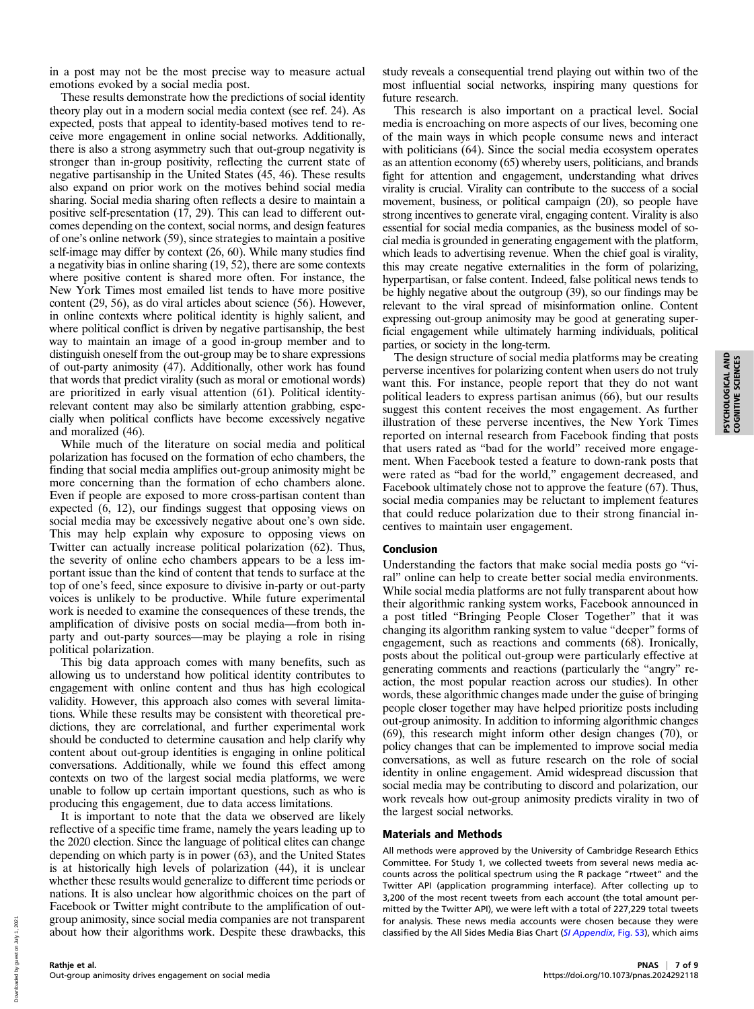in a post may not be the most precise way to measure actual emotions evoked by a social media post.

These results demonstrate how the predictions of social identity theory play out in a modern social media context (see ref. 24). As expected, posts that appeal to identity-based motives tend to receive more engagement in online social networks. Additionally, there is also a strong asymmetry such that out-group negativity is stronger than in-group positivity, reflecting the current state of negative partisanship in the United States (45, 46). These results also expand on prior work on the motives behind social media sharing. Social media sharing often reflects a desire to maintain a positive self-presentation (17, 29). This can lead to different outcomes depending on the context, social norms, and design features of one's online network (59), since strategies to maintain a positive self-image may differ by context (26, 60). While many studies find a negativity bias in online sharing (19, 52), there are some contexts where positive content is shared more often. For instance, the New York Times most emailed list tends to have more positive content (29, 56), as do viral articles about science (56). However, in online contexts where political identity is highly salient, and where political conflict is driven by negative partisanship, the best way to maintain an image of a good in-group member and to distinguish oneself from the out-group may be to share expressions of out-party animosity (47). Additionally, other work has found that words that predict virality (such as moral or emotional words) are prioritized in early visual attention (61). Political identityrelevant content may also be similarly attention grabbing, especially when political conflicts have become excessively negative and moralized (46).

While much of the literature on social media and political polarization has focused on the formation of echo chambers, the finding that social media amplifies out-group animosity might be more concerning than the formation of echo chambers alone. Even if people are exposed to more cross-partisan content than expected (6, 12), our findings suggest that opposing views on social media may be excessively negative about one's own side. This may help explain why exposure to opposing views on Twitter can actually increase political polarization (62). Thus, the severity of online echo chambers appears to be a less important issue than the kind of content that tends to surface at the top of one's feed, since exposure to divisive in-party or out-party voices is unlikely to be productive. While future experimental work is needed to examine the consequences of these trends, the amplification of divisive posts on social media—from both inparty and out-party sources—may be playing a role in rising political polarization.

This big data approach comes with many benefits, such as allowing us to understand how political identity contributes to engagement with online content and thus has high ecological validity. However, this approach also comes with several limitations. While these results may be consistent with theoretical predictions, they are correlational, and further experimental work should be conducted to determine causation and help clarify why content about out-group identities is engaging in online political conversations. Additionally, while we found this effect among contexts on two of the largest social media platforms, we were unable to follow up certain important questions, such as who is producing this engagement, due to data access limitations.

It is important to note that the data we observed are likely reflective of a specific time frame, namely the years leading up to the 2020 election. Since the language of political elites can change depending on which party is in power (63), and the United States is at historically high levels of polarization (44), it is unclear whether these results would generalize to different time periods or nations. It is also unclear how algorithmic choices on the part of Facebook or Twitter might contribute to the amplification of outgroup animosity, since social media companies are not transparent about how their algorithms work. Despite these drawbacks, this study reveals a consequential trend playing out within two of the most influential social networks, inspiring many questions for future research.

This research is also important on a practical level. Social media is encroaching on more aspects of our lives, becoming one of the main ways in which people consume news and interact with politicians (64). Since the social media ecosystem operates as an attention economy (65) whereby users, politicians, and brands fight for attention and engagement, understanding what drives virality is crucial. Virality can contribute to the success of a social movement, business, or political campaign (20), so people have strong incentives to generate viral, engaging content. Virality is also essential for social media companies, as the business model of social media is grounded in generating engagement with the platform, which leads to advertising revenue. When the chief goal is virality, this may create negative externalities in the form of polarizing, hyperpartisan, or false content. Indeed, false political news tends to be highly negative about the outgroup (39), so our findings may be relevant to the viral spread of misinformation online. Content expressing out-group animosity may be good at generating superficial engagement while ultimately harming individuals, political parties, or society in the long-term.

The design structure of social media platforms may be creating perverse incentives for polarizing content when users do not truly want this. For instance, people report that they do not want political leaders to express partisan animus (66), but our results suggest this content receives the most engagement. As further illustration of these perverse incentives, the New York Times reported on internal research from Facebook finding that posts that users rated as "bad for the world" received more engagement. When Facebook tested a feature to down-rank posts that were rated as "bad for the world," engagement decreased, and Facebook ultimately chose not to approve the feature (67). Thus, social media companies may be reluctant to implement features that could reduce polarization due to their strong financial incentives to maintain user engagement.

## Conclusion

Understanding the factors that make social media posts go "viral" online can help to create better social media environments. While social media platforms are not fully transparent about how their algorithmic ranking system works, Facebook announced in a post titled "Bringing People Closer Together" that it was changing its algorithm ranking system to value "deeper" forms of engagement, such as reactions and comments (68). Ironically, posts about the political out-group were particularly effective at generating comments and reactions (particularly the "angry" reaction, the most popular reaction across our studies). In other words, these algorithmic changes made under the guise of bringing people closer together may have helped prioritize posts including out-group animosity. In addition to informing algorithmic changes (69), this research might inform other design changes (70), or policy changes that can be implemented to improve social media conversations, as well as future research on the role of social identity in online engagement. Amid widespread discussion that social media may be contributing to discord and polarization, our work reveals how out-group animosity predicts virality in two of the largest social networks.

#### Materials and Methods

All methods were approved by the University of Cambridge Research Ethics Committee. For Study 1, we collected tweets from several news media accounts across the political spectrum using the R package "rtweet" and the Twitter API (application programming interface). After collecting up to 3,200 of the most recent tweets from each account (the total amount permitted by the Twitter API), we were left with a total of 227,229 total tweets for analysis. These news media accounts were chosen because they were classified by the All Sides Media Bias Chart ([SI Appendix](https://www.pnas.org/lookup/suppl/doi:10.1073/pnas.2024292118/-/DCSupplemental), Fig. S3), which aims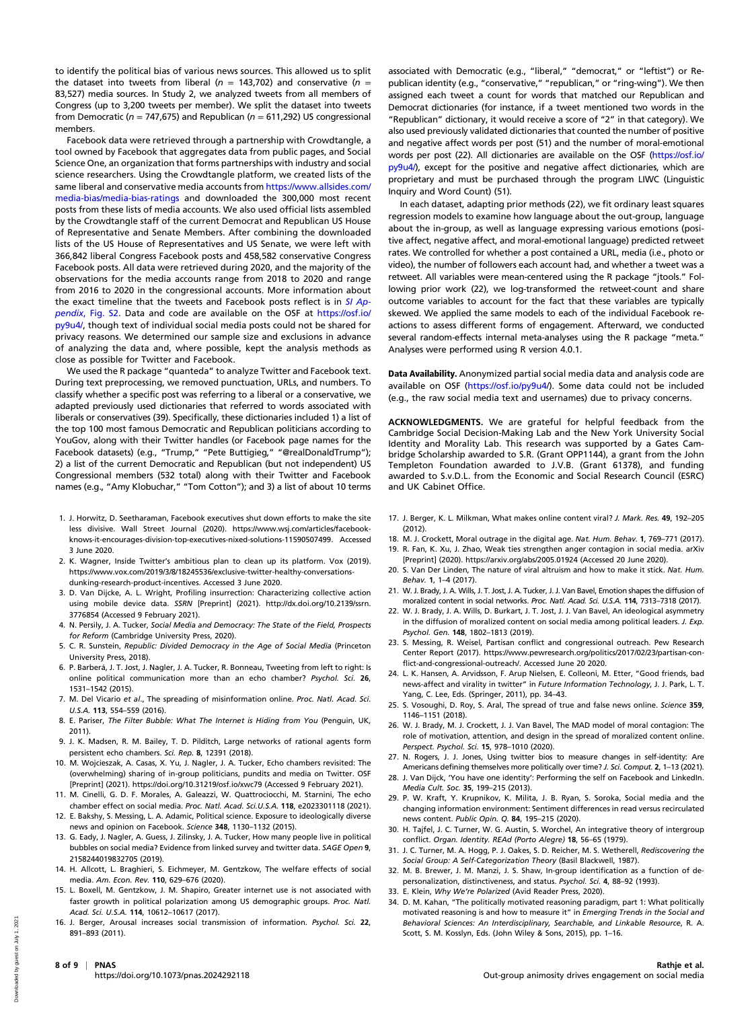to identify the political bias of various news sources. This allowed us to split the dataset into tweets from liberal ( $n = 143,702$ ) and conservative ( $n =$ 83,527) media sources. In Study 2, we analyzed tweets from all members of Congress (up to 3,200 tweets per member). We split the dataset into tweets from Democratic ( $n = 747,675$ ) and Republican ( $n = 611,292$ ) US congressional members.

Facebook data were retrieved through a partnership with Crowdtangle, a tool owned by Facebook that aggregates data from public pages, and Social Science One, an organization that forms partnerships with industry and social science researchers. Using the Crowdtangle platform, we created lists of the same liberal and conservative media accounts from [https://www.allsides.com/](https://www.allsides.com/media-bias/media-bias-ratings) [media-bias/media-bias-ratings](https://www.allsides.com/media-bias/media-bias-ratings) and downloaded the 300,000 most recent posts from these lists of media accounts. We also used official lists assembled by the Crowdtangle staff of the current Democrat and Republican US House of Representative and Senate Members. After combining the downloaded lists of the US House of Representatives and US Senate, we were left with 366,842 liberal Congress Facebook posts and 458,582 conservative Congress Facebook posts. All data were retrieved during 2020, and the majority of the observations for the media accounts range from 2018 to 2020 and range from 2016 to 2020 in the congressional accounts. More information about the exact timeline that the tweets and Facebook posts reflect is in [SI Ap](https://www.pnas.org/lookup/suppl/doi:10.1073/pnas.2024292118/-/DCSupplemental)pendix[, Fig. S2.](https://www.pnas.org/lookup/suppl/doi:10.1073/pnas.2024292118/-/DCSupplemental) Data and code are available on the OSF at [https://osf.io/](https://osf.io/py9u4/) [py9u4/](https://osf.io/py9u4/), though text of individual social media posts could not be shared for privacy reasons. We determined our sample size and exclusions in advance of analyzing the data and, where possible, kept the analysis methods as close as possible for Twitter and Facebook.

We used the R package "quanteda" to analyze Twitter and Facebook text. During text preprocessing, we removed punctuation, URLs, and numbers. To classify whether a specific post was referring to a liberal or a conservative, we adapted previously used dictionaries that referred to words associated with liberals or conservatives (39). Specifically, these dictionaries included 1) a list of the top 100 most famous Democratic and Republican politicians according to YouGov, along with their Twitter handles (or Facebook page names for the Facebook datasets) (e.g., "Trump," "Pete Buttigieg," "@realDonaldTrump"); 2) a list of the current Democratic and Republican (but not independent) US Congressional members (532 total) along with their Twitter and Facebook names (e.g., "Amy Klobuchar," "Tom Cotton"); and 3) a list of about 10 terms

- 1. J. Horwitz, D. Seetharaman, Facebook executives shut down efforts to make the site less divisive. Wall Street Journal (2020). [https://www.wsj.com/articles/facebook](https://www.wsj.com/articles/facebook-knows-it-encourages-division-top-executives-nixed-solutions-11590507499)[knows-it-encourages-division-top-executives-nixed-solutions-11590507499.](https://www.wsj.com/articles/facebook-knows-it-encourages-division-top-executives-nixed-solutions-11590507499) Accessed 3 June 2020.
- 2. K. Wagner, Inside Twitter's ambitious plan to clean up its platform. Vox (2019). [https://www.vox.com/2019/3/8/18245536/exclusive-twitter-healthy-conversations](https://www.vox.com/2019/3/8/18245536/exclusive-twitter-healthy-conversations-dunking-research-product-incentives)[dunking-research-product-incentives](https://www.vox.com/2019/3/8/18245536/exclusive-twitter-healthy-conversations-dunking-research-product-incentives). Accessed 3 June 2020.
- 3. D. Van Dijcke, A. L. Wright, Profiling insurrection: Characterizing collective action using mobile device data. SSRN [Preprint] (2021). [http://dx.doi.org/10.2139/ssrn.](http://dx.doi.org/10.2139/ssrn.3776854) [3776854](http://dx.doi.org/10.2139/ssrn.3776854) (Accessed 9 February 2021).
- 4. N. Persily, J. A. Tucker, Social Media and Democracy: The State of the Field, Prospects for Reform (Cambridge University Press, 2020).
- 5. C. R. Sunstein, Republic: Divided Democracy in the Age of Social Media (Princeton University Press, 2018).
- 6. P. Barberá, J. T. Jost, J. Nagler, J. A. Tucker, R. Bonneau, Tweeting from left to right: Is online political communication more than an echo chamber? Psychol. Sci. 26, 1531–1542 (2015).
- 7. M. Del Vicario et al., The spreading of misinformation online. Proc. Natl. Acad. Sci. U.S.A. 113, 554–559 (2016).
- 8. E. Pariser, The Filter Bubble: What The Internet is Hiding from You (Penguin, UK, 2011).
- 9. J. K. Madsen, R. M. Bailey, T. D. Pilditch, Large networks of rational agents form persistent echo chambers. Sci. Rep. 8, 12391 (2018).
- 10. M. Wojcieszak, A. Casas, X. Yu, J. Nagler, J. A. Tucker, Echo chambers revisited: The (overwhelming) sharing of in-group politicians, pundits and media on Twitter. OSF [Preprint] (2021).<https://doi.org/10.31219/osf.io/xwc79> (Accessed 9 February 2021).
- 11. M. Cinelli, G. D. F. Morales, A. Galeazzi, W. Quattrociocchi, M. Starnini, The echo chamber effect on social media. Proc. Natl. Acad. Sci.U.S.A. 118, e2023301118 (2021).
- 12. E. Bakshy, S. Messing, L. A. Adamic, Political science. Exposure to ideologically diverse news and opinion on Facebook. Science 348, 1130-1132 (2015).
- 13. G. Eady, J. Nagler, A. Guess, J. Zilinsky, J. A. Tucker, How many people live in political bubbles on social media? Evidence from linked survey and twitter data. SAGE Open 9, 2158244019832705 (2019).
- 14. H. Allcott, L. Braghieri, S. Eichmeyer, M. Gentzkow, The welfare effects of social media. Am. Econ. Rev. 110, 629–676 (2020).
- 15. L. Boxell, M. Gentzkow, J. M. Shapiro, Greater internet use is not associated with faster growth in political polarization among US demographic groups. Proc. Natl. Acad. Sci. U.S.A. 114, 10612–10617 (2017).
- 16. J. Berger, Arousal increases social transmission of information. Psychol. Sci. 22, 891–893 (2011).

associated with Democratic (e.g., "liberal," "democrat," or "leftist") or Republican identity (e.g., "conservative," "republican," or "ring-wing"). We then assigned each tweet a count for words that matched our Republican and Democrat dictionaries (for instance, if a tweet mentioned two words in the "Republican" dictionary, it would receive a score of "2" in that category). We also used previously validated dictionaries that counted the number of positive and negative affect words per post (51) and the number of moral-emotional words per post (22). All dictionaries are available on the OSF [\(https://osf.io/](https://osf.io/py9u4/) [py9u4/](https://osf.io/py9u4/)), except for the positive and negative affect dictionaries, which are proprietary and must be purchased through the program LIWC (Linguistic Inquiry and Word Count) (51).

In each dataset, adapting prior methods (22), we fit ordinary least squares regression models to examine how language about the out-group, language about the in-group, as well as language expressing various emotions (positive affect, negative affect, and moral-emotional language) predicted retweet rates. We controlled for whether a post contained a URL, media (i.e., photo or video), the number of followers each account had, and whether a tweet was a retweet. All variables were mean-centered using the R package "jtools." Following prior work (22), we log-transformed the retweet-count and share outcome variables to account for the fact that these variables are typically skewed. We applied the same models to each of the individual Facebook reactions to assess different forms of engagement. Afterward, we conducted several random-effects internal meta-analyses using the R package "meta." Analyses were performed using R version 4.0.1.

Data Availability. Anonymized partial social media data and analysis code are available on OSF ([https://osf.io/py9u4](https://osf.io/py9u4/)/). Some data could not be included (e.g., the raw social media text and usernames) due to privacy concerns.

ACKNOWLEDGMENTS. We are grateful for helpful feedback from the Cambridge Social Decision-Making Lab and the New York University Social Identity and Morality Lab. This research was supported by a Gates Cambridge Scholarship awarded to S.R. (Grant OPP1144), a grant from the John Templeton Foundation awarded to J.V.B. (Grant 61378), and funding awarded to S.v.D.L. from the Economic and Social Research Council (ESRC) and UK Cabinet Office.

- 17. J. Berger, K. L. Milkman, What makes online content viral? J. Mark. Res. 49, 192-205 (2012).
- 18. M. J. Crockett, Moral outrage in the digital age. Nat. Hum. Behav. 1, 769–771 (2017).
- 19. R. Fan, K. Xu, J. Zhao, Weak ties strengthen anger contagion in social media. arXiv [Preprint] (2020).<https://arxiv.org/abs/2005.01924> (Accessed 20 June 2020).
- 20. S. Van Der Linden. The nature of viral altruism and how to make it stick. Nat. Hum. Behav. 1, 1–4 (2017).
- 21. W. J. Brady, J. A. Wills, J. T. Jost, J. A. Tucker, J. J. Van Bavel, Emotion shapes the diffusion of moralized content in social networks. Proc. Natl. Acad. Sci. U.S.A. 114, 7313–7318 (2017).
- 22. W. J. Brady, J. A. Wills, D. Burkart, J. T. Jost, J. J. Van Bavel, An ideological asymmetry in the diffusion of moralized content on social media among political leaders. J. Exp. Psychol. Gen. 148, 1802–1813 (2019).
- 23. S. Messing, R. Weisel, Partisan conflict and congressional outreach. Pew Research Center Report (2017). [https://www.pewresearch.org/politics/2017/02/23/partisan-con](https://www.pewresearch.org/politics/2017/02/23/partisan-conflict-and-congressional-outreach/)[flict-and-congressional-outreach/.](https://www.pewresearch.org/politics/2017/02/23/partisan-conflict-and-congressional-outreach/) Accessed June 20 2020.
- 24. L. K. Hansen, A. Arvidsson, F. Arup Nielsen, E. Colleoni, M. Etter, "Good friends, bad news-affect and virality in twitter" in Future Information Technology, J. J. Park, L. T. Yang, C. Lee, Eds. (Springer, 2011), pp. 34–43.
- 25. S. Vosoughi, D. Roy, S. Aral, The spread of true and false news online. Science 359, 1146–1151 (2018).
- 26. W. J. Brady, M. J. Crockett, J. J. Van Bavel, The MAD model of moral contagion: The role of motivation, attention, and design in the spread of moralized content online. Perspect. Psychol. Sci. 15, 978–1010 (2020).
- 27. N. Rogers, J. J. Jones, Using twitter bios to measure changes in self-identity: Are Americans defining themselves more politically over time? J. Sci. Comput. 2, 1-13 (2021).
- 28. J. Van Dijck, 'You have one identity': Performing the self on Facebook and LinkedIn. Media Cult. Soc. 35, 199–215 (2013).
- 29. P. W. Kraft, Y. Krupnikov, K. Milita, J. B. Ryan, S. Soroka, Social media and the changing information environment: Sentiment differences in read versus recirculated news content. Public Opin. Q. 84, 195–215 (2020).
- 30. H. Tajfel, J. C. Turner, W. G. Austin, S. Worchel, An integrative theory of intergroup conflict. Organ. Identity. REAd (Porto Alegre) 18, 56–65 (1979).
- 31. J. C. Turner, M. A. Hogg, P. J. Oakes, S. D. Reicher, M. S. Wetherell, Rediscovering the Social Group: A Self-Categorization Theory (Basil Blackwell, 1987).
- 32. M. B. Brewer, J. M. Manzi, J. S. Shaw, In-group identification as a function of depersonalization, distinctiveness, and status. Psychol. Sci. 4, 88–92 (1993).
- 33. E. Klein, Why We're Polarized (Avid Reader Press, 2020).
- 34. D. M. Kahan, "The politically motivated reasoning paradigm, part 1: What politically motivated reasoning is and how to measure it" in Emerging Trends in the Social and Behavioral Sciences: An Interdisciplinary, Searchable, and Linkable Resource, R. A. Scott, S. M. Kosslyn, Eds. (John Wiley & Sons, 2015), pp. 1–16.